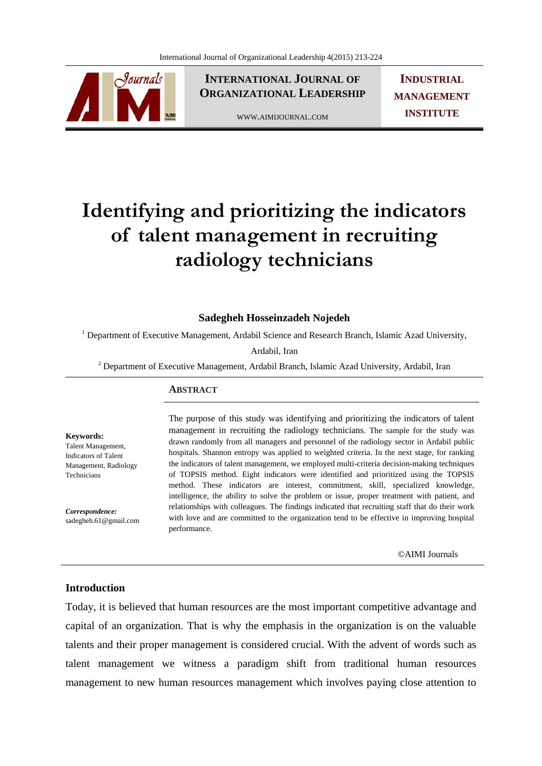

**INTERNATIONAL JOURNAL OF ORGANIZATIONAL LEADERSHIP**

WWW.AIMIJOURNAL.COM

**INDUSTRIAL MANAGEMENT INSTITUTE**

# **Identifying and prioritizing the indicators of talent management in recruiting radiology technicians**

#### **Sadegheh Hosseinzadeh Nojedeh**

<sup>1</sup> Department of Executive Management, Ardabil Science and Research Branch, Islamic Azad University,

Ardabil, Iran

<sup>2</sup> Department of Executive Management, Ardabil Branch, Islamic Azad University, Ardabil, Iran

#### **ABSTRACT**

**Keywords:** 

Talent Management, Indicators of Talent Management, Radiology Technicians

*Correspondence:*  sadegheh.61@gmail.com

The purpose of this study was identifying and prioritizing the indicators of talent management in recruiting the radiology technicians. The sample for the study was drawn randomly from all managers and personnel of the radiology sector in Ardabil public hospitals. Shannon entropy was applied to weighted criteria. In the next stage, for ranking the indicators of talent management, we employed multi-criteria decision-making techniques of TOPSIS method. Eight indicators were identified and prioritized using the TOPSIS method. These indicators are interest, commitment, skill, specialized knowledge, intelligence, the ability to solve the problem or issue, proper treatment with patient, and relationships with colleagues. The findings indicated that recruiting staff that do their work with love and are committed to the organization tend to be effective in improving hospital performance.

©AIMI Journals

### **Introduction**

Today, it is believed that human resources are the most important competitive advantage and capital of an organization. That is why the emphasis in the organization is on the valuable talents and their proper management is considered crucial. With the advent of words such as talent management we witness a paradigm shift from traditional human resources management to new human resources management which involves paying close attention to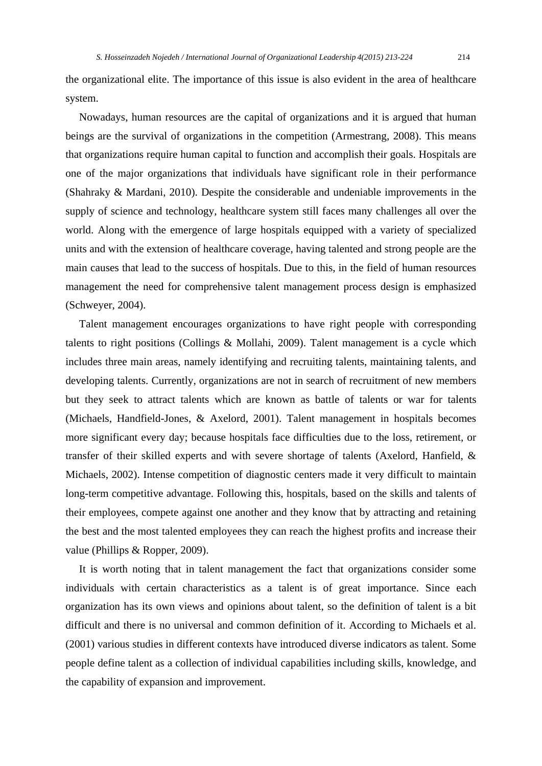the organizational elite. The importance of this issue is also evident in the area of healthcare system.

 Nowadays, human resources are the capital of organizations and it is argued that human beings are the survival of organizations in the competition (Armestrang, 2008). This means that organizations require human capital to function and accomplish their goals. Hospitals are one of the major organizations that individuals have significant role in their performance (Shahraky & Mardani, 2010). Despite the considerable and undeniable improvements in the supply of science and technology, healthcare system still faces many challenges all over the world. Along with the emergence of large hospitals equipped with a variety of specialized units and with the extension of healthcare coverage, having talented and strong people are the main causes that lead to the success of hospitals. Due to this, in the field of human resources management the need for comprehensive talent management process design is emphasized (Schweyer, 2004).

 Talent management encourages organizations to have right people with corresponding talents to right positions (Collings & Mollahi, 2009). Talent management is a cycle which includes three main areas, namely identifying and recruiting talents, maintaining talents, and developing talents. Currently, organizations are not in search of recruitment of new members but they seek to attract talents which are known as battle of talents or war for talents (Michaels, Handfield-Jones, & Axelord, 2001). Talent management in hospitals becomes more significant every day; because hospitals face difficulties due to the loss, retirement, or transfer of their skilled experts and with severe shortage of talents (Axelord, Hanfield, & Michaels, 2002). Intense competition of diagnostic centers made it very difficult to maintain long-term competitive advantage. Following this, hospitals, based on the skills and talents of their employees, compete against one another and they know that by attracting and retaining the best and the most talented employees they can reach the highest profits and increase their value (Phillips & Ropper, 2009).

 It is worth noting that in talent management the fact that organizations consider some individuals with certain characteristics as a talent is of great importance. Since each organization has its own views and opinions about talent, so the definition of talent is a bit difficult and there is no universal and common definition of it. According to Michaels et al. (2001) various studies in different contexts have introduced diverse indicators as talent. Some people define talent as a collection of individual capabilities including skills, knowledge, and the capability of expansion and improvement.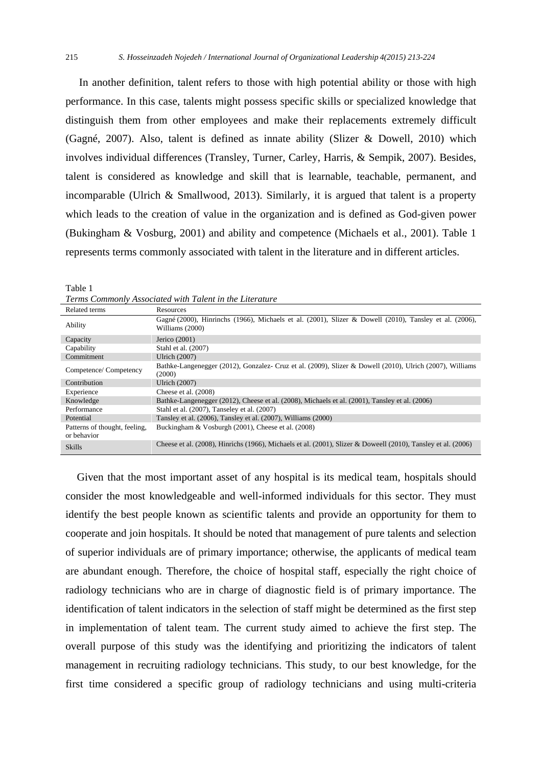In another definition, talent refers to those with high potential ability or those with high performance. In this case, talents might possess specific skills or specialized knowledge that distinguish them from other employees and make their replacements extremely difficult (Gagné, 2007). Also, talent is defined as innate ability (Slizer & Dowell, 2010) which involves individual differences (Transley, Turner, Carley, Harris, & Sempik, 2007). Besides, talent is considered as knowledge and skill that is learnable, teachable, permanent, and incomparable (Ulrich & Smallwood, 2013). Similarly, it is argued that talent is a property which leads to the creation of value in the organization and is defined as God-given power (Bukingham & Vosburg, 2001) and ability and competence (Michaels et al., 2001). Table 1 represents terms commonly associated with talent in the literature and in different articles.

|                                              | refind commonly reductioned while reducing the profitements                                                               |
|----------------------------------------------|---------------------------------------------------------------------------------------------------------------------------|
| Related terms                                | Resources                                                                                                                 |
| Ability                                      | Gagné (2000), Hinrinchs (1966), Michaels et al. (2001), Slizer & Dowell (2010), Tansley et al. (2006),<br>Williams (2000) |
| Capacity                                     | Jerico $(2001)$                                                                                                           |
| Capability                                   | Stahl et al. (2007)                                                                                                       |
| Commitment                                   | Ulrich (2007)                                                                                                             |
| Competence/Competency                        | Bathke-Langenegger (2012), Gonzalez- Cruz et al. (2009), Slizer & Dowell (2010), Ulrich (2007), Williams<br>(2000)        |
| Contribution                                 | Ulrich (2007)                                                                                                             |
| Experience                                   | Cheese et al. (2008)                                                                                                      |
| Knowledge                                    | Bathke-Langenegger (2012), Cheese et al. (2008), Michaels et al. (2001), Tansley et al. (2006)                            |
| Performance                                  | Stahl et al. (2007), Tanseley et al. (2007)                                                                               |
| Potential                                    | Tansley et al. (2006), Tansley et al. (2007), Williams (2000)                                                             |
| Patterns of thought, feeling,<br>or behavior | Buckingham & Vosburgh (2001), Cheese et al. (2008)                                                                        |
| <b>Skills</b>                                | Cheese et al. (2008), Hinrichs (1966), Michaels et al. (2001), Slizer & Doweell (2010), Tansley et al. (2006)             |

Table 1 *Terms Commonly Associated with Talent in the Literature*

 Given that the most important asset of any hospital is its medical team, hospitals should consider the most knowledgeable and well-informed individuals for this sector. They must identify the best people known as scientific talents and provide an opportunity for them to cooperate and join hospitals. It should be noted that management of pure talents and selection of superior individuals are of primary importance; otherwise, the applicants of medical team are abundant enough. Therefore, the choice of hospital staff, especially the right choice of radiology technicians who are in charge of diagnostic field is of primary importance. The identification of talent indicators in the selection of staff might be determined as the first step in implementation of talent team. The current study aimed to achieve the first step. The overall purpose of this study was the identifying and prioritizing the indicators of talent management in recruiting radiology technicians. This study, to our best knowledge, for the first time considered a specific group of radiology technicians and using multi-criteria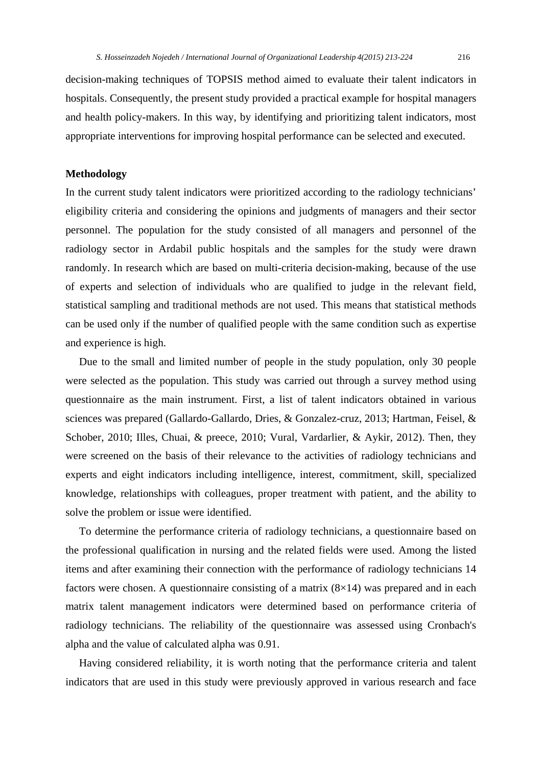decision-making techniques of TOPSIS method aimed to evaluate their talent indicators in hospitals. Consequently, the present study provided a practical example for hospital managers and health policy-makers. In this way, by identifying and prioritizing talent indicators, most appropriate interventions for improving hospital performance can be selected and executed.

## **Methodology**

In the current study talent indicators were prioritized according to the radiology technicians' eligibility criteria and considering the opinions and judgments of managers and their sector personnel. The population for the study consisted of all managers and personnel of the radiology sector in Ardabil public hospitals and the samples for the study were drawn randomly. In research which are based on multi-criteria decision-making, because of the use of experts and selection of individuals who are qualified to judge in the relevant field, statistical sampling and traditional methods are not used. This means that statistical methods can be used only if the number of qualified people with the same condition such as expertise and experience is high.

 Due to the small and limited number of people in the study population, only 30 people were selected as the population. This study was carried out through a survey method using questionnaire as the main instrument. First, a list of talent indicators obtained in various sciences was prepared (Gallardo-Gallardo, Dries, & Gonzalez-cruz, 2013; Hartman, Feisel, & Schober, 2010; Illes, Chuai, & preece, 2010; Vural, Vardarlier, & Aykir, 2012). Then, they were screened on the basis of their relevance to the activities of radiology technicians and experts and eight indicators including intelligence, interest, commitment, skill, specialized knowledge, relationships with colleagues, proper treatment with patient, and the ability to solve the problem or issue were identified.

 To determine the performance criteria of radiology technicians, a questionnaire based on the professional qualification in nursing and the related fields were used. Among the listed items and after examining their connection with the performance of radiology technicians 14 factors were chosen. A questionnaire consisting of a matrix  $(8\times14)$  was prepared and in each matrix talent management indicators were determined based on performance criteria of radiology technicians. The reliability of the questionnaire was assessed using Cronbach's alpha and the value of calculated alpha was 0.91.

 Having considered reliability, it is worth noting that the performance criteria and talent indicators that are used in this study were previously approved in various research and face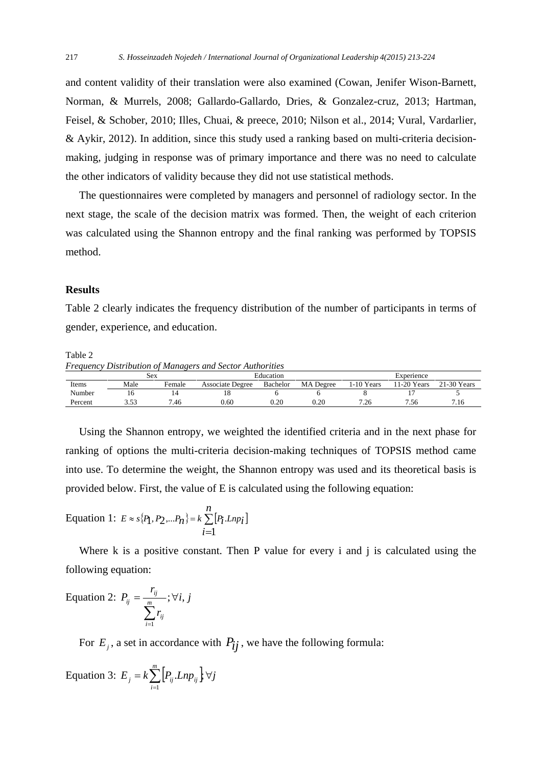and content validity of their translation were also examined (Cowan, Jenifer Wison-Barnett, Norman, & Murrels, 2008; Gallardo-Gallardo, Dries, & Gonzalez-cruz, 2013; Hartman, Feisel, & Schober, 2010; Illes, Chuai, & preece, 2010; Nilson et al., 2014; Vural, Vardarlier, & Aykir, 2012). In addition, since this study used a ranking based on multi-criteria decisionmaking, judging in response was of primary importance and there was no need to calculate the other indicators of validity because they did not use statistical methods.

 The questionnaires were completed by managers and personnel of radiology sector. In the next stage, the scale of the decision matrix was formed. Then, the weight of each criterion was calculated using the Shannon entropy and the final ranking was performed by TOPSIS method.

## **Results**

Table 2 clearly indicates the frequency distribution of the number of participants in terms of gender, experience, and education.

Table 2

*Frequency Distribution of Managers and Sector Authorities* 

|         | Sex             |        |                         | Education |                  | Experience |             |               |  |
|---------|-----------------|--------|-------------------------|-----------|------------------|------------|-------------|---------------|--|
| Items   | Male            | Female | <b>Associate Degree</b> | Bachelor  | <b>MA</b> Degree | l-10 Years | '1-20 Years | $21-30$ Years |  |
| Number  | 1 O             |        | 10                      |           |                  |            |             |               |  |
| Percent | $\epsilon$<br>. | '.46   | 0.60                    | $0.20\,$  | 0.20             | 7.26       | 1.56        | 7.16          |  |

 Using the Shannon entropy, we weighted the identified criteria and in the next phase for ranking of options the multi-criteria decision-making techniques of TOPSIS method came into use. To determine the weight, the Shannon entropy was used and its theoretical basis is provided below. First, the value of E is calculated using the following equation:

Equation 1: 
$$
E \approx s\{P_1, P_2,...P_n\} = k \sum_{i=1}^{n} [P_i.Lnp_i]
$$

Where k is a positive constant. Then P value for every i and j is calculated using the following equation:

Equation 2: 
$$
P_{ij} = \frac{r_{ij}}{\sum_{i=1}^{m} r_{ij}}; \forall i, j
$$

For  $E_i$ , a set in accordance with  $P_{ij}$ , we have the following formula:

Equation 3: 
$$
E_j = k \sum_{i=1}^{m} [P_{ij}.Lnp_{ij}] \,\forall j
$$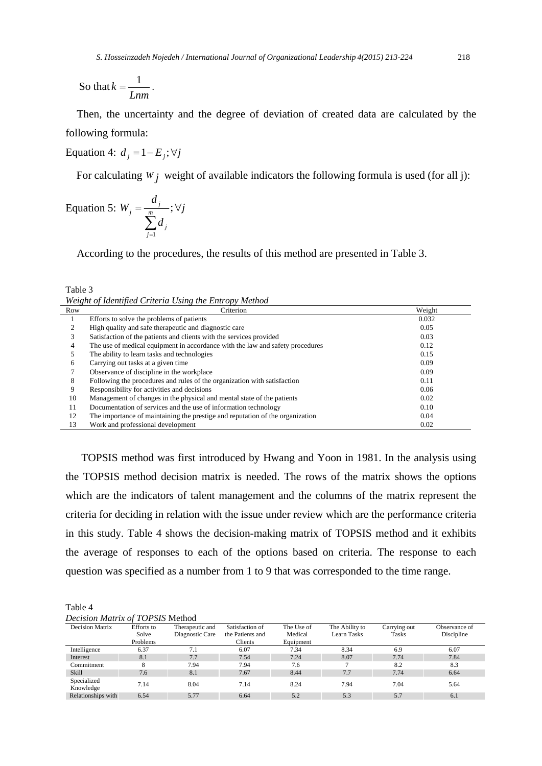So that *Lnm*  $k=\frac{1}{l}$ .

 Then, the uncertainty and the degree of deviation of created data are calculated by the following formula:

Equation 4:  $d_i = 1 - E_i$ ;  $\forall j$ 

For calculating  $W_j$  weight of available indicators the following formula is used (for all j):

Equation 5: 
$$
W_j = \frac{d_j}{\sum_{j=1}^m d_j}
$$
;  $\forall j$ 

According to the procedures, the results of this method are presented in Table 3.

Table 3 *Weight of Identified Criteria Using the Entropy Method* 

| Row | Criterion                                                                     | Weight |
|-----|-------------------------------------------------------------------------------|--------|
|     | Efforts to solve the problems of patients                                     | 0.032  |
|     | High quality and safe therapeutic and diagnostic care                         | 0.05   |
|     | Satisfaction of the patients and clients with the services provided           | 0.03   |
| 4   | The use of medical equipment in accordance with the law and safety procedures | 0.12   |
|     | The ability to learn tasks and technologies                                   | 0.15   |
| 6   | Carrying out tasks at a given time                                            | 0.09   |
|     | Observance of discipline in the workplace                                     | 0.09   |
| 8   | Following the procedures and rules of the organization with satisfaction      | 0.11   |
|     | Responsibility for activities and decisions                                   | 0.06   |
| 10  | Management of changes in the physical and mental state of the patients        | 0.02   |
| 11  | Documentation of services and the use of information technology               | 0.10   |
| 12  | The importance of maintaining the prestige and reputation of the organization | 0.04   |
| 13  | Work and professional development                                             | 0.02   |

 TOPSIS method was first introduced by Hwang and Yoon in 1981. In the analysis using the TOPSIS method decision matrix is needed. The rows of the matrix shows the options which are the indicators of talent management and the columns of the matrix represent the criteria for deciding in relation with the issue under review which are the performance criteria in this study. Table 4 shows the decision-making matrix of TOPSIS method and it exhibits the average of responses to each of the options based on criteria. The response to each question was specified as a number from 1 to 9 that was corresponded to the time range.

| ١ |
|---|
|---|

*Decision Matrix of TOPSIS* Method

| <b>Decision Matrix</b>   | Efforts to<br>Solve<br>Problems | Therapeutic and<br>Diagnostic Care | Satisfaction of<br>the Patients and<br>Clients | The Use of<br>Medical<br>Equipment | The Ability to<br>Learn Tasks | Carrying out<br><b>Tasks</b> | Observance of<br>Discipline |
|--------------------------|---------------------------------|------------------------------------|------------------------------------------------|------------------------------------|-------------------------------|------------------------------|-----------------------------|
| Intelligence             | 6.37                            | 7.1                                | 6.07                                           | 7.34                               | 8.34                          | 6.9                          | 6.07                        |
| Interest                 | 8.1                             | 7.7                                | 7.54                                           | 7.24                               | 8.07                          | 7.74                         | 7.84                        |
| Commitment               | 8                               | 7.94                               | 7.94                                           | 7.6                                | 7                             | 8.2                          | 8.3                         |
| Skill                    | 7.6                             | 8.1                                | 7.67                                           | 8.44                               | 7.7                           | 7.74                         | 6.64                        |
| Specialized<br>Knowledge | 7.14                            | 8.04                               | 7.14                                           | 8.24                               | 7.94                          | 7.04                         | 5.64                        |
| Relationships with       | 6.54                            | 5.77                               | 6.64                                           | 5.2                                | 5.3                           | 5.7                          | 6.1                         |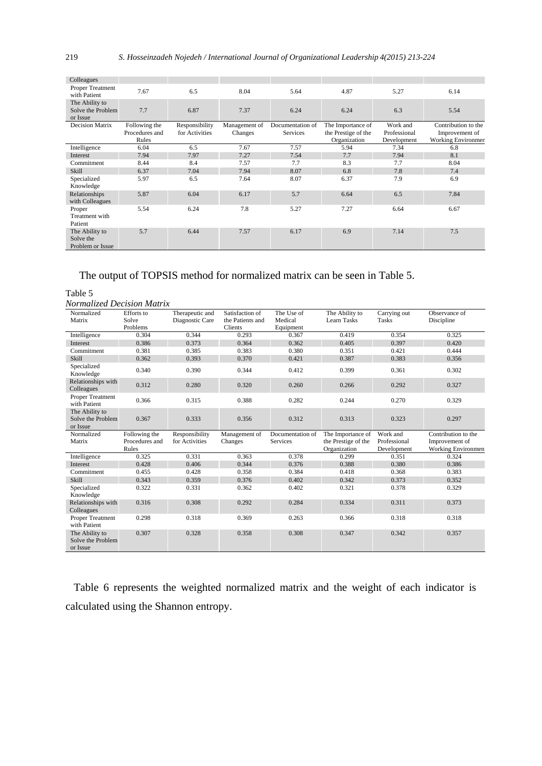| Colleagues                                      |                                          |                                  |                          |                                     |                                                          |                                         |                                                                    |
|-------------------------------------------------|------------------------------------------|----------------------------------|--------------------------|-------------------------------------|----------------------------------------------------------|-----------------------------------------|--------------------------------------------------------------------|
| Proper Treatment<br>with Patient                | 7.67                                     | 6.5                              | 8.04                     | 5.64                                | 4.87                                                     | 5.27                                    | 6.14                                                               |
| The Ability to<br>Solve the Problem<br>or Issue | 7.7                                      | 6.87                             | 7.37                     | 6.24                                | 6.24                                                     | 6.3                                     | 5.54                                                               |
| <b>Decision Matrix</b>                          | Following the<br>Procedures and<br>Rules | Responsibility<br>for Activities | Management of<br>Changes | Documentation of<br><b>Services</b> | The Importance of<br>the Prestige of the<br>Organization | Work and<br>Professional<br>Development | Contribution to the<br>Improvement of<br><b>Working Environmer</b> |
| Intelligence                                    | 6.04                                     | 6.5                              | 7.67                     | 7.57                                | 5.94                                                     | 7.34                                    | 6.8                                                                |
| Interest                                        | 7.94                                     | 7.97                             | 7.27                     | 7.54                                | 7.7                                                      | 7.94                                    | 8.1                                                                |
| Commitment                                      | 8.44                                     | 8.4                              | 7.57                     | 7.7                                 | 8.3                                                      | 7.7                                     | 8.04                                                               |
| <b>Skill</b>                                    | 6.37                                     | 7.04                             | 7.94                     | 8.07                                | 6.8                                                      | 7.8                                     | 7.4                                                                |
| Specialized<br>Knowledge                        | 5.97                                     | 6.5                              | 7.64                     | 8.07                                | 6.37                                                     | 7.9                                     | 6.9                                                                |
| Relationships<br>with Colleagues                | 5.87                                     | 6.04                             | 6.17                     | 5.7                                 | 6.64                                                     | 6.5                                     | 7.84                                                               |
| Proper<br>Treatment with<br>Patient             | 5.54                                     | 6.24                             | 7.8                      | 5.27                                | 7.27                                                     | 6.64                                    | 6.67                                                               |
| The Ability to<br>Solve the<br>Problem or Issue | 5.7                                      | 6.44                             | 7.57                     | 6.17                                | 6.9                                                      | 7.14                                    | 7.5                                                                |

# The output of TOPSIS method for normalized matrix can be seen in Table 5.

Table 5 *Normalized Decision Matrix*

| Normalized<br>Matrix                            | Efforts to<br>Solve | Therapeutic and<br>Diagnostic Care | Satisfaction of<br>the Patients and | The Use of<br>Medical | The Ability to<br>Learn Tasks | Carrying out<br><b>Tasks</b> | Observance of<br>Discipline |
|-------------------------------------------------|---------------------|------------------------------------|-------------------------------------|-----------------------|-------------------------------|------------------------------|-----------------------------|
|                                                 | Problems            |                                    | Clients                             | Equipment             |                               |                              |                             |
| Intelligence                                    | 0.304               | 0.344                              | 0.293                               | 0.367                 | 0.419                         | 0.354                        | 0.325                       |
| Interest                                        | 0.386               | 0.373                              | 0.364                               | 0.362                 | 0.405                         | 0.397                        | 0.420                       |
| Commitment                                      | 0.381               | 0.385                              | 0.383                               | 0.380                 | 0.351                         | 0.421                        | 0.444                       |
| Skill                                           | 0.362               | 0.393                              | 0.370                               | 0.421                 | 0.387                         | 0.383                        | 0.356                       |
| Specialized<br>Knowledge                        | 0.340               | 0.390                              | 0.344                               | 0.412                 | 0.399                         | 0.361                        | 0.302                       |
| Relationships with<br>Colleagues                | 0.312               | 0.280                              | 0.320                               | 0.260                 | 0.266                         | 0.292                        | 0.327                       |
| Proper Treatment<br>with Patient                | 0.366               | 0.315                              | 0.388                               | 0.282                 | 0.244                         | 0.270                        | 0.329                       |
| The Ability to<br>Solve the Problem<br>or Issue | 0.367               | 0.333                              | 0.356                               | 0.312                 | 0.313                         | 0.323                        | 0.297                       |
|                                                 |                     |                                    |                                     |                       |                               |                              |                             |
| Normalized                                      | Following the       | Responsibility                     | Management of                       | Documentation of      | The Importance of             | Work and                     | Contribution to the         |
| Matrix                                          | Procedures and      | for Activities                     | Changes                             | Services              | the Prestige of the           | Professional                 | Improvement of              |
|                                                 | Rules               |                                    |                                     |                       | Organization                  | Development                  | <b>Working Environmen</b>   |
| Intelligence                                    | 0.325               | 0.331                              | 0.363                               | 0.378                 | 0.299                         | 0.351                        | 0.324                       |
| Interest                                        | 0.428               | 0.406                              | 0.344                               | 0.376                 | 0.388                         | 0.380                        | 0.386                       |
| Commitment                                      | 0.455               | 0.428                              | 0.358                               | 0.384                 | 0.418                         | 0.368                        | 0.383                       |
| Skill                                           | 0.343               | 0.359                              | 0.376                               | 0.402                 | 0.342                         | 0.373                        | 0.352                       |
| Specialized<br>Knowledge                        | 0.322               | 0.331                              | 0.362                               | 0.402                 | 0.321                         | 0.378                        | 0.329                       |
| Relationships with<br>Colleagues                | 0.316               | 0.308                              | 0.292                               | 0.284                 | 0.334                         | 0.311                        | 0.373                       |
| Proper Treatment<br>with Patient                | 0.298               | 0.318                              | 0.369                               | 0.263                 | 0.366                         | 0.318                        | 0.318                       |

 Table 6 represents the weighted normalized matrix and the weight of each indicator is calculated using the Shannon entropy.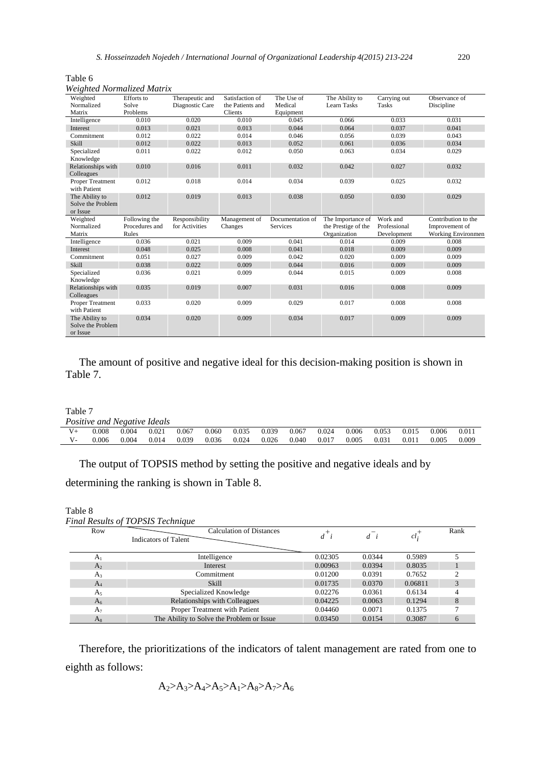| Table 6                           |  |
|-----------------------------------|--|
| <b>Weighted Normalized Matrix</b> |  |

| $\cdots$<br>Weighted<br>Normalized<br>Matrix    | Efforts to<br>Solve<br>Problems | Therapeutic and<br>Diagnostic Care | Satisfaction of<br>the Patients and<br>Clients | The Use of<br>Medical<br>Equipment | The Ability to<br><b>Learn Tasks</b> | Carrying out<br><b>Tasks</b> | Observance of<br>Discipline |
|-------------------------------------------------|---------------------------------|------------------------------------|------------------------------------------------|------------------------------------|--------------------------------------|------------------------------|-----------------------------|
| Intelligence                                    | 0.010                           | 0.020                              | 0.010                                          | 0.045                              | 0.066                                | 0.033                        | 0.031                       |
| Interest                                        | 0.013                           | 0.021                              | 0.013                                          | 0.044                              | 0.064                                | 0.037                        | 0.041                       |
| Commitment                                      | 0.012                           | 0.022                              | 0.014                                          | 0.046                              | 0.056                                | 0.039                        | 0.043                       |
| Skill                                           | 0.012                           | 0.022                              | 0.013                                          | 0.052                              | 0.061                                | 0.036                        | 0.034                       |
| Specialized<br>Knowledge                        | 0.011                           | 0.022                              | 0.012                                          | 0.050                              | 0.063                                | 0.034                        | 0.029                       |
| Relationships with<br>Colleagues                | 0.010                           | 0.016                              | 0.011                                          | 0.032                              | 0.042                                | 0.027                        | 0.032                       |
| <b>Proper Treatment</b><br>with Patient         | 0.012                           | 0.018                              | 0.014                                          | 0.034                              | 0.039                                | 0.025                        | 0.032                       |
| The Ability to<br>Solve the Problem<br>or Issue | 0.012                           | 0.019                              | 0.013                                          | 0.038                              | 0.050                                | 0.030                        | 0.029                       |
| Weighted                                        | Following the                   | Responsibility                     | Management of                                  | Documentation of                   | The Importance of                    | Work and                     | Contribution to the         |
| Normalized                                      | Procedures and                  | for Activities                     | Changes                                        | <b>Services</b>                    | the Prestige of the                  | Professional                 | Improvement of              |
| Matrix                                          | Rules                           |                                    |                                                |                                    | Organization                         | Development                  | <b>Working Environmen</b>   |
| Intelligence                                    | 0.036                           | 0.021                              | 0.009                                          | 0.041                              | 0.014                                | 0.009                        | 0.008                       |
| Interest                                        | 0.048                           | 0.025                              | 0.008                                          | 0.041                              | 0.018                                | 0.009                        | 0.009                       |
| Commitment                                      | 0.051                           | 0.027                              | 0.009                                          | 0.042                              | 0.020                                | 0.009                        | 0.009                       |
| Skill                                           | 0.038                           | 0.022                              | 0.009                                          | 0.044                              | 0.016                                | 0.009                        | 0.009                       |
| Specialized<br>Knowledge                        | 0.036                           | 0.021                              | 0.009                                          | 0.044                              | 0.015                                | 0.009                        | 0.008                       |
| Relationships with<br>Colleagues                | 0.035                           | 0.019                              | 0.007                                          | 0.031                              | 0.016                                | 0.008                        | 0.009                       |
| <b>Proper Treatment</b><br>with Patient         | 0.033                           | 0.020                              | 0.009                                          | 0.029                              | 0.017                                | 0.008                        | 0.008                       |
| The Ability to<br>Solve the Problem<br>or Issue | 0.034                           | 0.020                              | 0.009                                          | 0.034                              | 0.017                                | 0.009                        | 0.009                       |

 The amount of positive and negative ideal for this decision-making position is shown in Table 7.

Table 7

|         | Positive and Negative Ideals |       |       |       |       |       |       |       |       |       |       |       |       |       |
|---------|------------------------------|-------|-------|-------|-------|-------|-------|-------|-------|-------|-------|-------|-------|-------|
| $V_{+}$ | 0.008                        | 0.004 | 0.021 | 0.067 | 0.060 | 0.035 | 0.039 | 0.067 | 0.024 | 0.006 | 0.053 | 0.015 | 0.006 | 0.011 |
| $V -$   | 0.006                        | 0.004 | 0.014 | 0.039 | 0.036 | 0.024 | 0.026 | 0.040 | 0.017 | 0.005 | 0.031 | 0.011 | 0.005 | 0.009 |

The output of TOPSIS method by setting the positive and negative ideals and by

determining the ranking is shown in Table 8.

| Table 8        | <b>Final Results of TOPSIS Technique</b>                |                |        |          |      |
|----------------|---------------------------------------------------------|----------------|--------|----------|------|
| Row            | <b>Calculation of Distances</b><br>Indicators of Talent | $d^{\dagger}i$ | $d$ i  | $cl_i^+$ | Rank |
| A <sub>1</sub> | Intelligence                                            | 0.02305        | 0.0344 | 0.5989   |      |
| A <sub>2</sub> | <b>Interest</b>                                         | 0.00963        | 0.0394 | 0.8035   |      |
| $A_3$          | Commitment                                              | 0.01200        | 0.0391 | 0.7652   |      |
| $A_4$          | Skill                                                   | 0.01735        | 0.0370 | 0.06811  |      |
| A <sub>5</sub> | Specialized Knowledge                                   | 0.02276        | 0.0361 | 0.6134   |      |
| A <sub>6</sub> | Relationships with Colleagues                           | 0.04225        | 0.0063 | 0.1294   | 8    |
| A <sub>7</sub> | Proper Treatment with Patient                           | 0.04460        | 0.0071 | 0.1375   |      |
| $A_8$          | The Ability to Solve the Problem or Issue               | 0.03450        | 0.0154 | 0.3087   | 6    |

 Therefore, the prioritizations of the indicators of talent management are rated from one to eighth as follows:

$$
A_2 > A_3 > A_4 > A_5 > A_1 > A_8 > A_7 > A_6
$$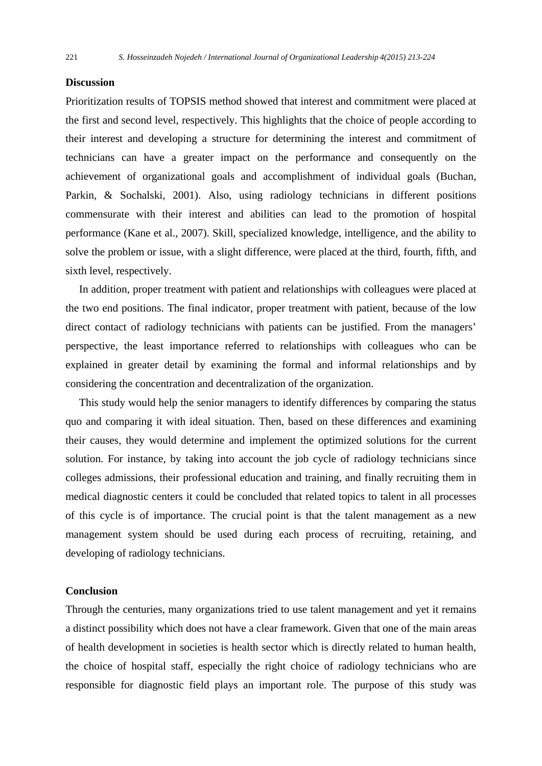#### **Discussion**

Prioritization results of TOPSIS method showed that interest and commitment were placed at the first and second level, respectively. This highlights that the choice of people according to their interest and developing a structure for determining the interest and commitment of technicians can have a greater impact on the performance and consequently on the achievement of organizational goals and accomplishment of individual goals (Buchan, Parkin, & Sochalski, 2001). Also, using radiology technicians in different positions commensurate with their interest and abilities can lead to the promotion of hospital performance (Kane et al., 2007). Skill, specialized knowledge, intelligence, and the ability to solve the problem or issue, with a slight difference, were placed at the third, fourth, fifth, and sixth level, respectively.

 In addition, proper treatment with patient and relationships with colleagues were placed at the two end positions. The final indicator, proper treatment with patient, because of the low direct contact of radiology technicians with patients can be justified. From the managers' perspective, the least importance referred to relationships with colleagues who can be explained in greater detail by examining the formal and informal relationships and by considering the concentration and decentralization of the organization.

 This study would help the senior managers to identify differences by comparing the status quo and comparing it with ideal situation. Then, based on these differences and examining their causes, they would determine and implement the optimized solutions for the current solution. For instance, by taking into account the job cycle of radiology technicians since colleges admissions, their professional education and training, and finally recruiting them in medical diagnostic centers it could be concluded that related topics to talent in all processes of this cycle is of importance. The crucial point is that the talent management as a new management system should be used during each process of recruiting, retaining, and developing of radiology technicians.

#### **Conclusion**

Through the centuries, many organizations tried to use talent management and yet it remains a distinct possibility which does not have a clear framework. Given that one of the main areas of health development in societies is health sector which is directly related to human health, the choice of hospital staff, especially the right choice of radiology technicians who are responsible for diagnostic field plays an important role. The purpose of this study was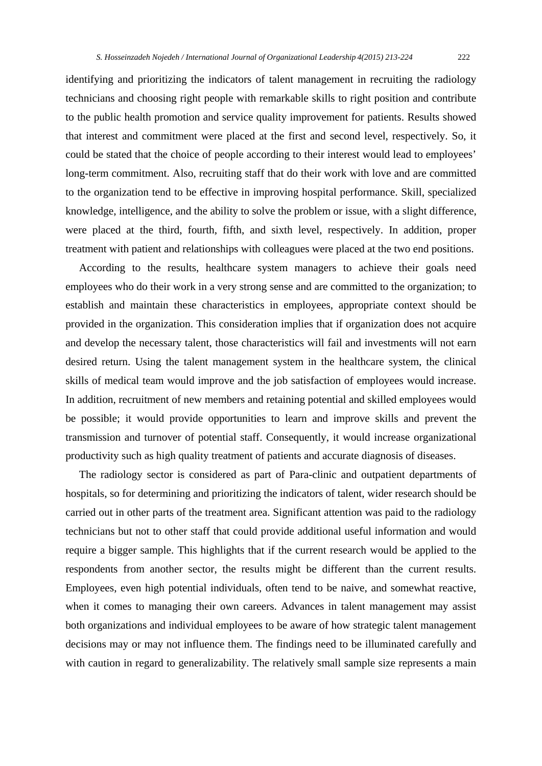identifying and prioritizing the indicators of talent management in recruiting the radiology technicians and choosing right people with remarkable skills to right position and contribute to the public health promotion and service quality improvement for patients. Results showed that interest and commitment were placed at the first and second level, respectively. So, it could be stated that the choice of people according to their interest would lead to employees' long-term commitment. Also, recruiting staff that do their work with love and are committed to the organization tend to be effective in improving hospital performance. Skill, specialized knowledge, intelligence, and the ability to solve the problem or issue, with a slight difference, were placed at the third, fourth, fifth, and sixth level, respectively. In addition, proper treatment with patient and relationships with colleagues were placed at the two end positions.

 According to the results, healthcare system managers to achieve their goals need employees who do their work in a very strong sense and are committed to the organization; to establish and maintain these characteristics in employees, appropriate context should be provided in the organization. This consideration implies that if organization does not acquire and develop the necessary talent, those characteristics will fail and investments will not earn desired return. Using the talent management system in the healthcare system, the clinical skills of medical team would improve and the job satisfaction of employees would increase. In addition, recruitment of new members and retaining potential and skilled employees would be possible; it would provide opportunities to learn and improve skills and prevent the transmission and turnover of potential staff. Consequently, it would increase organizational productivity such as high quality treatment of patients and accurate diagnosis of diseases.

 The radiology sector is considered as part of Para-clinic and outpatient departments of hospitals, so for determining and prioritizing the indicators of talent, wider research should be carried out in other parts of the treatment area. Significant attention was paid to the radiology technicians but not to other staff that could provide additional useful information and would require a bigger sample. This highlights that if the current research would be applied to the respondents from another sector, the results might be different than the current results. Employees, even high potential individuals, often tend to be naive, and somewhat reactive, when it comes to managing their own careers. Advances in talent management may assist both organizations and individual employees to be aware of how strategic talent management decisions may or may not influence them. The findings need to be illuminated carefully and with caution in regard to generalizability. The relatively small sample size represents a main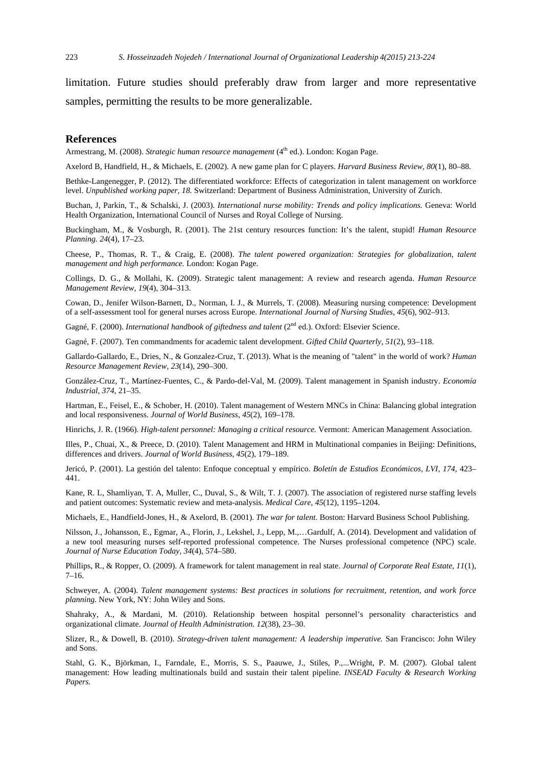limitation. Future studies should preferably draw from larger and more representative samples, permitting the results to be more generalizable.

#### **References**

Armestrang, M. (2008). *Strategic human resource management* (4<sup>th</sup> ed.). London: Kogan Page.

Axelord B, Handfield, H., & Michaels, E. (2002). A new game plan for C players. *Harvard Business Review, 80*(1), 80–88.

Bethke-Langenegger, P. (2012). The differentiated workforce: Effects of categorization in talent management on workforce level. *Unpublished working paper, 18.* Switzerland: Department of Business Administration, University of Zurich.

Buchan, J, Parkin, T., & Schalski, J. (2003). *International nurse mobility: Trends and policy implications.* Geneva: World Health Organization, International Council of Nurses and Royal College of Nursing.

Buckingham, M., & Vosburgh, R. (2001). The 21st century resources function: It's the talent, stupid! *Human Resource Planning. 24*(4), 17–23.

Cheese, P., Thomas, R. T., & Craig, E. (2008). *The talent powered organization: Strategies for globalization, talent management and high performance.* London: Kogan Page.

Collings, D. G., & Mollahi, K. (2009). Strategic talent management: A review and research agenda. *Human Resource Management Review, 19*(4), 304–313.

Cowan, D., Jenifer Wilson-Barnett, D., Norman, I. J., & Murrels, T. (2008). Measuring nursing competence: Development of a self-assessment tool for general nurses across Europe. *International Journal of Nursing Studies, 45*(6), 902–913.

Gagné, F. (2000). *International handbook of giftedness and talent* (2<sup>nd</sup> ed.). Oxford: Elsevier Science.

Gagné, F. (2007). Ten commandments for academic talent development. *Gifted Child Quarterly, 51*(2), 93–118.

Gallardo-Gallardo, E., Dries, N., & Gonzalez-Cruz, T. (2013). What is the meaning of "talent" in the world of work? *Human Resource Management Review, 23*(14), 290–300.

González-Cruz, T., Martínez-Fuentes, C., & Pardo-del-Val, M. (2009). Talent management in Spanish industry. *Economía Industrial, 374*, 21–35.

Hartman, E., Feisel, E., & Schober, H. (2010). Talent management of Western MNCs in China: Balancing global integration and local responsiveness. *Journal of World Business, 45*(2), 169–178.

Hinrichs, J. R. (1966). *High-talent personnel: Managing a critical resource.* Vermont: American Management Association.

Illes, P., Chuai, X., & Preece, D. (2010). Talent Management and HRM in Multinational companies in Beijing: Definitions, differences and drivers. *Journal of World Business, 45*(2), 179–189.

Jericó, P. (2001). La gestión del talento: Enfoque conceptual y empírico. *Boletín de Estudios Económicos, LVI, 174,* 423– 441.

Kane, R. L, Shamliyan, T. A, Muller, C., Duval, S., & Wilt, T. J. (2007). The association of registered nurse staffing levels and patient outcomes: Systematic review and meta-analysis. *Medical Care, 45*(12), 1195–1204.

Michaels, E., Handfield-Jones, H., & Axelord, B. (2001). *The war for talent.* Boston: Harvard Business School Publishing.

Nilsson, J., Johansson, E., Egmar, A., Florin, J., Lekshel, J., Lepp, M.,…Gardulf, A. (2014). Development and validation of a new tool measuring nurses self-reported professional competence. The Nurses professional competence (NPC) scale. *Journal of Nurse Education Today, 34*(4), 574–580.

Phillips, R., & Ropper, O. (2009). A framework for talent management in real state. *Journal of Corporate Real Estate, 11*(1),  $7-16.$ 

Schweyer, A. (2004). *Talent management systems: Best practices in solutions for recruitment, retention, and work force planning.* New York, NY: John Wiley and Sons.

Shahraky, A., & Mardani, M. (2010). Relationship between hospital personnel's personality characteristics and organizational climate. *Journal of Health Administration. 12*(38), 23–30.

Slizer, R., & Dowell, B. (2010). *Strategy-driven talent management: A leadership imperative.* San Francisco: John Wiley and Sons.

Stahl, G. K., Björkman, I., Farndale, E., Morris, S. S., Paauwe, J., Stiles, P.,...Wright, P. M. (2007). Global talent management: How leading multinationals build and sustain their talent pipeline. *INSEAD Faculty & Research Working Papers.*